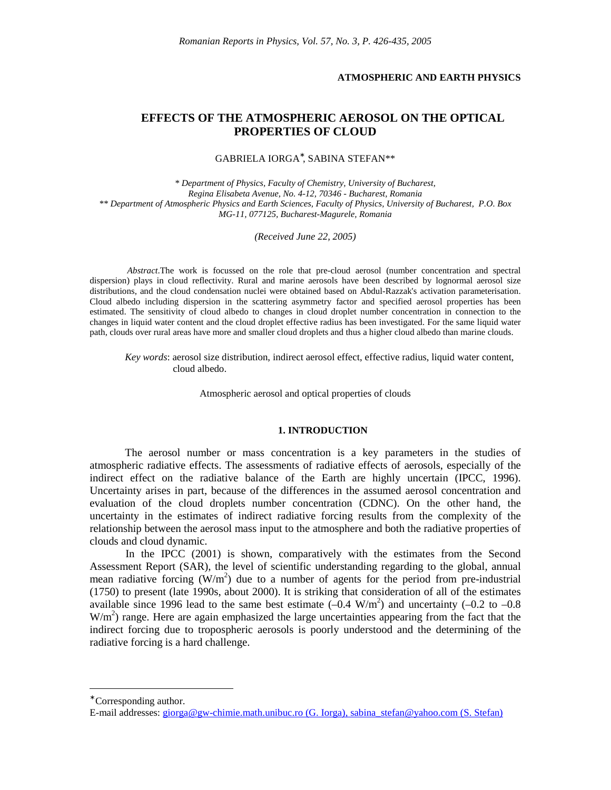### **ATMOSPHERIC AND EARTH PHYSICS**

# **EFFECTS OF THE ATMOSPHERIC AEROSOL ON THE OPTICAL PROPERTIES OF CLOUD**

GABRIELA IORGA ∗ , SABINA STEFAN\*\*

*\* Department of Physics, Faculty of Chemistry, University of Bucharest, Regina Elisabeta Avenue, No. 4-12, 70346 - Bucharest, Romania \*\* Department of Atmospheric Physics and Earth Sciences, Faculty of Physics, University of Bucharest, P.O. Box MG-11, 077125, Bucharest-Magurele, Romania*

*(Received June 22, 2005)*

*Abstract*.The work is focussed on the role that pre-cloud aerosol (number concentration and spectral dispersion) plays in cloud reflectivity. Rural and marine aerosols have been described by lognormal aerosol size distributions, and the cloud condensation nuclei were obtained based on Abdul-Razzak's activation parameterisation. Cloud albedo including dispersion in the scattering asymmetry factor and specified aerosol properties has been estimated. The sensitivity of cloud albedo to changes in cloud droplet number concentration in connection to the changes in liquid water content and the cloud droplet effective radius has been investigated. For the same liquid water path, clouds over rural areas have more and smaller cloud droplets and thus a higher cloud albedo than marine clouds.

*Key words*: aerosol size distribution, indirect aerosol effect, effective radius, liquid water content, cloud albedo.

Atmospheric aerosol and optical properties of clouds

#### **1. INTRODUCTION**

The aerosol number or mass concentration is a key parameters in the studies of atmospheric radiative effects. The assessments of radiative effects of aerosols, especially of the indirect effect on the radiative balance of the Earth are highly uncertain (IPCC, 1996). Uncertainty arises in part, because of the differences in the assumed aerosol concentration and evaluation of the cloud droplets number concentration (CDNC). On the other hand, the uncertainty in the estimates of indirect radiative forcing results from the complexity of the relationship between the aerosol mass input to the atmosphere and both the radiative properties of clouds and cloud dynamic.

In the IPCC (2001) is shown, comparatively with the estimates from the Second Assessment Report (SAR), the level of scientific understanding regarding to the global, annual mean radiative forcing  $(W/m^2)$  due to a number of agents for the period from pre-industrial (1750) to present (late 1990s, about 2000). It is striking that consideration of all of the estimates available since 1996 lead to the same best estimate  $(-0.4 \text{ W/m}^2)$  and uncertainty  $(-0.2 \text{ to } -0.8 \text{ W/m}^2)$  $W/m<sup>2</sup>$ ) range. Here are again emphasized the large uncertainties appearing from the fact that the indirect forcing due to tropospheric aerosols is poorly understood and the determining of the radiative forcing is a hard challenge.

<u>.</u>

<sup>∗</sup> Corresponding author.

E-mail addresses: giorga@gw-chimie.math.unibuc.ro (G. Iorga), sabina\_stefan@yahoo.com (S. Stefan)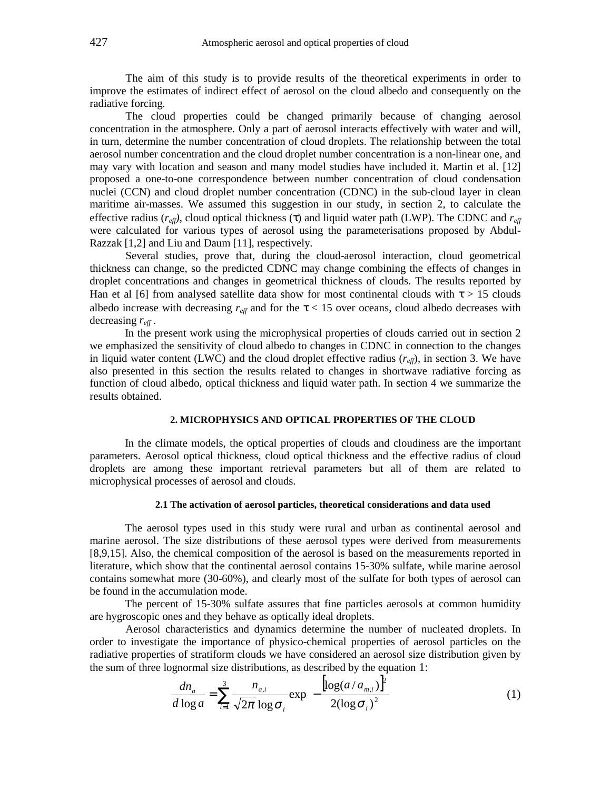The aim of this study is to provide results of the theoretical experiments in order to improve the estimates of indirect effect of aerosol on the cloud albedo and consequently on the radiative forcing.

The cloud properties could be changed primarily because of changing aerosol concentration in the atmosphere. Only a part of aerosol interacts effectively with water and will, in turn, determine the number concentration of cloud droplets. The relationship between the total aerosol number concentration and the cloud droplet number concentration is a non-linear one, and may vary with location and season and many model studies have included it. Martin et al. [12] proposed a one-to-one correspondence between number concentration of cloud condensation nuclei (CCN) and cloud droplet number concentration (CDNC) in the sub-cloud layer in clean maritime air-masses. We assumed this suggestion in our study, in section 2, to calculate the effective radius ( $r_{\text{eff}}$ ), cloud optical thickness (τ) and liquid water path (LWP). The CDNC and  $r_{\text{eff}}$ were calculated for various types of aerosol using the parameterisations proposed by Abdul-Razzak [1,2] and Liu and Daum [11], respectively.

Several studies, prove that, during the cloud-aerosol interaction, cloud geometrical thickness can change, so the predicted CDNC may change combining the effects of changes in droplet concentrations and changes in geometrical thickness of clouds. The results reported by Han et al [6] from analysed satellite data show for most continental clouds with  $\tau > 15$  clouds albedo increase with decreasing  $r_{\text{eff}}$  and for the  $\tau$  < 15 over oceans, cloud albedo decreases with decreasing *reff* .

In the present work using the microphysical properties of clouds carried out in section 2 we emphasized the sensitivity of cloud albedo to changes in CDNC in connection to the changes in liquid water content (LWC) and the cloud droplet effective radius  $(r_{\text{eff}})$ , in section 3. We have also presented in this section the results related to changes in shortwave radiative forcing as function of cloud albedo, optical thickness and liquid water path. In section 4 we summarize the results obtained.

#### **2. MICROPHYSICS AND OPTICAL PROPERTIES OF THE CLOUD**

In the climate models, the optical properties of clouds and cloudiness are the important parameters. Aerosol optical thickness, cloud optical thickness and the effective radius of cloud droplets are among these important retrieval parameters but all of them are related to microphysical processes of aerosol and clouds.

## **2.1 The activation of aerosol particles, theoretical considerations and data used**

The aerosol types used in this study were rural and urban as continental aerosol and marine aerosol. The size distributions of these aerosol types were derived from measurements [8,9,15]. Also, the chemical composition of the aerosol is based on the measurements reported in literature, which show that the continental aerosol contains 15-30% sulfate, while marine aerosol contains somewhat more (30-60%), and clearly most of the sulfate for both types of aerosol can be found in the accumulation mode.

The percent of 15-30% sulfate assures that fine particles aerosols at common humidity are hygroscopic ones and they behave as optically ideal droplets.

Aerosol characteristics and dynamics determine the number of nucleated droplets. In order to investigate the importance of physico-chemical properties of aerosol particles on the radiative properties of stratiform clouds we have considered an aerosol size distribution given by the sum of three lognormal size distributions, as described by the equation 1:

$$
\frac{dn_a}{d\log a} = \sum_{i=1}^3 \frac{n_{a,i}}{\sqrt{2\pi} \log \sigma_i} \exp\left(-\frac{\left[\log(a/a_{m,i})\right]^2}{2(\log \sigma_i)^2}\right)
$$
(1)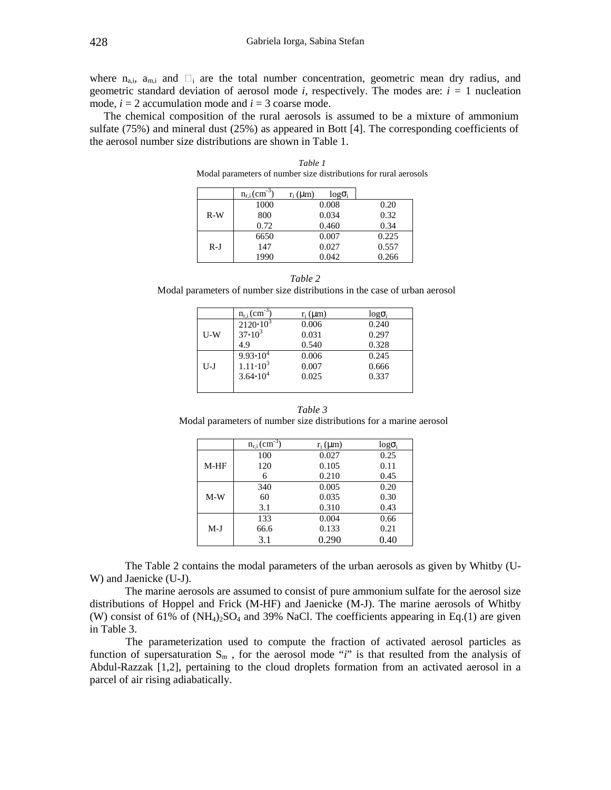where  $n_{a,i}$ ,  $a_{m,i}$  and  $\square_i$  are the total number concentration, geometric mean dry radius, and geometric standard deviation of aerosol mode *i*, respectively. The modes are:  $i = 1$  nucleation mode,  $i = 2$  accumulation mode and  $i = 3$  coarse mode.

The chemical composition of the rural aerosols is assumed to be a mixture of ammonium sulfate (75%) and mineral dust (25%) as appeared in Bott [4]. The corresponding coefficients of the aerosol number size distributions are shown in Table 1.

|       | $n_{r,i}$ (cm <sup>-3</sup> | $r_i$ ( $\mu$ m)<br>$log \sigma_i$ |       |
|-------|-----------------------------|------------------------------------|-------|
|       | 1000                        | 0.008                              | 0.20  |
| $R-W$ | 800                         | 0.034                              | 0.32  |
|       | 0.72                        | 0.460                              | 0.34  |
| $R-J$ | 6650                        | 0.007                              | 0.225 |
|       | 147                         | 0.027                              | 0.557 |
|       | 1990                        | 0.042                              | 0.266 |

*Table 1* Modal parameters of number size distributions for rural aerosols

| Table 2                                                                    |
|----------------------------------------------------------------------------|
| Modal parameters of number size distributions in the case of urban aerosol |

|       | $n_{r,i}$ (cm <sup>-3</sup> ) | $r_i$ ( $\mu$ m) | $log \sigma_i$ |
|-------|-------------------------------|------------------|----------------|
|       | $2120 \frac{10^3}{ }$         | 0.006            | 0.240          |
| $U-W$ | $37 \; 10^3$                  | 0.031            | 0.297          |
|       | 4.9                           | 0.540            | 0.328          |
|       | $9.93 \cdot 10^4$             | 0.006            | 0.245          |
| $U-J$ | $1.11 \; 10^3$                | 0.007            | 0.666          |
|       | 3.64 $10^4$                   | 0.025            | 0.337          |
|       |                               |                  |                |

*Table 3* Modal parameters of number size distributions for a marine aerosol

|        | $n_{r,i}$ (cm <sup>-3</sup> ) | $r_i$ ( $\mu$ m) | $logo_i$ |
|--------|-------------------------------|------------------|----------|
|        | 100                           | 0.027            | 0.25     |
| $M-HF$ | 120                           | 0.105            | 0.11     |
|        | 6                             | 0.210            | 0.45     |
|        | 340                           | 0.005            | 0.20     |
| $M-W$  | 60                            | 0.035            | 0.30     |
|        | 3.1                           | 0.310            | 0.43     |
|        | 133                           | 0.004            | 0.66     |
| $M-J$  | 66.6                          | 0.133            | 0.21     |
|        | 3.1                           | 0.290            | 0.40     |

The Table 2 contains the modal parameters of the urban aerosols as given by Whitby (U-W) and Jaenicke (U-J).

The marine aerosols are assumed to consist of pure ammonium sulfate for the aerosol size distributions of Hoppel and Frick (M-HF) and Jaenicke (M-J). The marine aerosols of Whitby (W) consist of 61% of  $(NH_4)_2SO_4$  and 39% NaCl. The coefficients appearing in Eq.(1) are given in Table 3.

The parameterization used to compute the fraction of activated aerosol particles as function of supersaturation  $S_m$ , for the aerosol mode "*i*" is that resulted from the analysis of Abdul-Razzak [1,2], pertaining to the cloud droplets formation from an activated aerosol in a parcel of air rising adiabatically.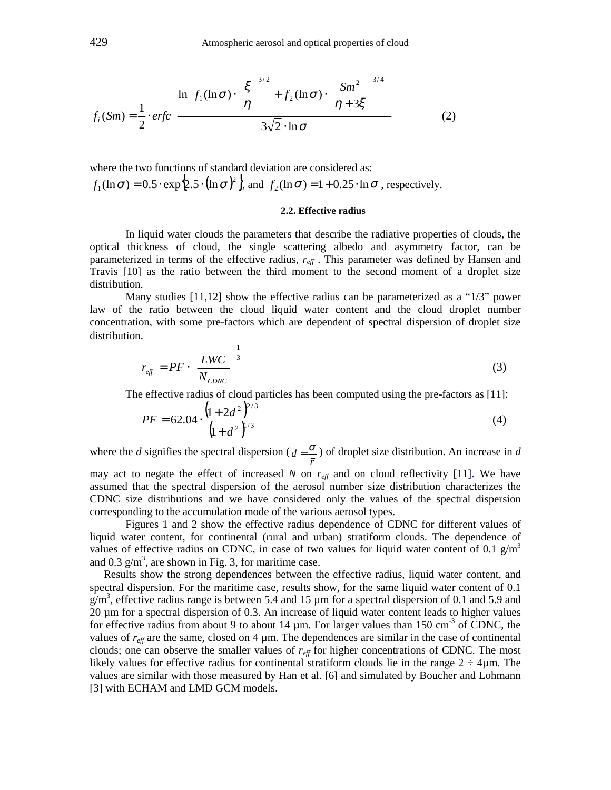$$
f_i(Sm) = \frac{1}{2} \cdot \text{erfc}\left\{\frac{\ln\left[f_1(\ln\sigma)\cdot\left(\frac{\xi}{\eta}\right)^{3/2} + f_2(\ln\sigma)\cdot\left(\frac{Sm^2}{\eta+3\xi}\right)^{3/4}\right]}{3\sqrt{2}\cdot\ln\sigma}\right\}
$$
(2)

where the two functions of standard deviation are considered as:  $\{2.5 \cdot (\ln \sigma)^2\}$ ,  $f_1(\ln \sigma) = 0.5 \cdot \exp\{2.5 \cdot (\ln \sigma)^2\}$ , and  $f_2(\ln \sigma) = 1 + 0.25 \cdot \ln \sigma$ , respectively.

#### **2.2. Effective radius**

In liquid water clouds the parameters that describe the radiative properties of clouds, the optical thickness of cloud, the single scattering albedo and asymmetry factor, can be parameterized in terms of the effective radius, *reff* . This parameter was defined by Hansen and Travis [10] as the ratio between the third moment to the second moment of a droplet size distribution.

Many studies  $[11,12]$  show the effective radius can be parameterized as a "1/3" power law of the ratio between the cloud liquid water content and the cloud droplet number concentration, with some pre-factors which are dependent of spectral dispersion of droplet size distribution.

$$
r_{\text{eff}} = PF \cdot \left(\frac{LWC}{N_{\text{CDNC}}}\right)^{\frac{1}{3}}
$$
(3)

The effective radius of cloud particles has been computed using the pre-factors as [11]:

$$
PF = 62.04 \cdot \frac{\left(1 + 2d^2\right)^{2/3}}{\left(1 + d^2\right)^{1/3}}
$$
\n(4)

where the *d* signifies the spectral dispersion ( *r*  $d = \frac{\sigma}{a}$ ) of droplet size distribution. An increase in *d* 

may act to negate the effect of increased  $N$  on  $r_{\text{eff}}$  and on cloud reflectivity [11]. We have assumed that the spectral dispersion of the aerosol number size distribution characterizes the CDNC size distributions and we have considered only the values of the spectral dispersion corresponding to the accumulation mode of the various aerosol types.

Figures 1 and 2 show the effective radius dependence of CDNC for different values of liquid water content, for continental (rural and urban) stratiform clouds. The dependence of values of effective radius on CDNC, in case of two values for liquid water content of 0.1  $\text{g/m}^3$ and 0.3  $g/m<sup>3</sup>$ , are shown in Fig. 3, for maritime case.

Results show the strong dependences between the effective radius, liquid water content, and spectral dispersion. For the maritime case, results show, for the same liquid water content of 0.1  $g/m<sup>3</sup>$ , effective radius range is between 5.4 and 15  $\mu$ m for a spectral dispersion of 0.1 and 5.9 and 20 µm for a spectral dispersion of 0.3. An increase of liquid water content leads to higher values for effective radius from about 9 to about 14  $\mu$ m. For larger values than 150 cm<sup>-3</sup> of CDNC, the values of  $r_{\text{eff}}$  are the same, closed on 4  $\mu$ m. The dependences are similar in the case of continental clouds; one can observe the smaller values of *reff* for higher concentrations of CDNC. The most likely values for effective radius for continental stratiform clouds lie in the range  $2 \div 4\mu$ m. The values are similar with those measured by Han et al. [6] and simulated by Boucher and Lohmann [3] with ECHAM and LMD GCM models.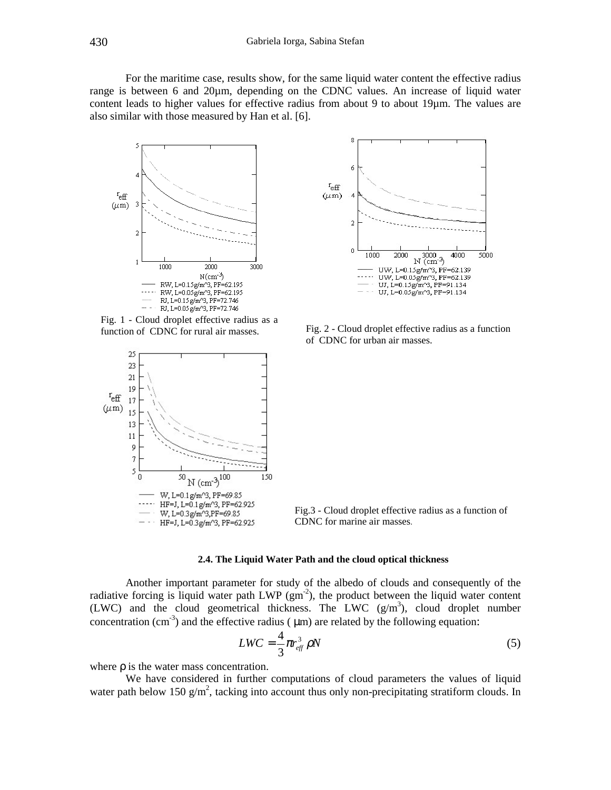For the maritime case, results show, for the same liquid water content the effective radius range is between 6 and  $20\mu$ m, depending on the CDNC values. An increase of liquid water content leads to higher values for effective radius from about 9 to about 19µm. The values are also similar with those measured by Han et al. [6].



Fig. 1 - Cloud droplet effective radius as a



8  $\epsilon$  $r_{\text{eff}}$  $(\mu m)$  $\overline{\mathbf{A}}$  $\overline{2}$  $\boldsymbol{0}$  $\frac{3000}{N (cm^{-3})}$ 1000 5000 2000 4000 UW, L=0.15g/m^3, PF=62.139 UW,  $L = 0.05g/m^3$ ,  $PF = 62.139$  $- - -$ UJ, L= $0.15g/m^3$ , PF=91.134 UJ, L=0.05g/m^3, PF=91.134

function of CDNC for rural air masses. Fig. 2 - Cloud droplet effective radius as a function of CDNC for urban air masses.

Fig.3 - Cloud droplet effective radius as a function of CDNC for marine air masses.

## **2.4. The Liquid Water Path and the cloud optical thickness**

Another important parameter for study of the albedo of clouds and consequently of the radiative forcing is liquid water path LWP  $(gm<sup>-2</sup>)$ , the product between the liquid water content (LWC) and the cloud geometrical thickness. The LWC  $(g/m<sup>3</sup>)$ , cloud droplet number concentration (cm<sup>-3</sup>) and the effective radius ( $\mu$ m) are related by the following equation:

$$
LWC = \frac{4}{3}\pi r_{\text{eff}}^3 \rho N \tag{5}
$$

where  $\rho$  is the water mass concentration.

We have considered in further computations of cloud parameters the values of liquid water path below 150  $g/m^2$ , tacking into account thus only non-precipitating stratiform clouds. In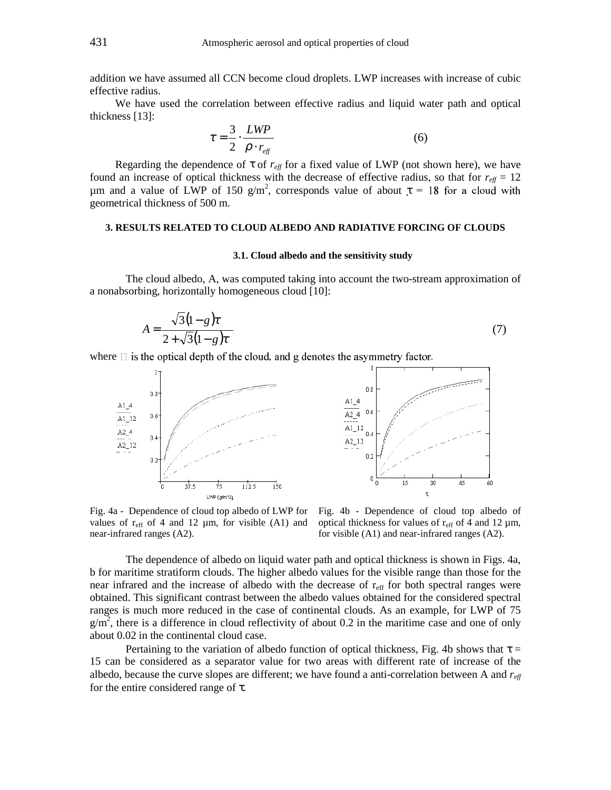addition we have assumed all CCN become cloud droplets. LWP increases with increase of cubic effective radius.

We have used the correlation between effective radius and liquid water path and optical thickness [13]:

$$
\tau = \frac{3}{2} \cdot \frac{LWP}{\rho \cdot r_{\text{eff}}}
$$
\n(6)

Regarding the dependence of  $\tau$  of  $r_{\text{eff}}$  for a fixed value of LWP (not shown here), we have found an increase of optical thickness with the decrease of effective radius, so that for  $r_{\text{eff}} = 12$ μm and a value of LWP of 150 g/m<sup>2</sup>, corresponds value of about  $\tau = 18$  for a cloud with geometrical thickness of 500 m.

## **3. RESULTS RELATED TO CLOUD ALBEDO AND RADIATIVE FORCING OF CLOUDS**

#### **3.1. Cloud albedo and the sensitivity study**

The cloud albedo, A, was computed taking into account the two-stream approximation of a nonabsorbing, horizontally homogeneous cloud [10]:

$$
A = \frac{\sqrt{3}(1-g)\tau}{2 + \sqrt{3}(1-g)\tau}
$$
\n(7)

where  $\Box$  is the optical depth of the cloud, and g denotes the asymmetry factor.



 $0.8$  $A1_4$  $0.6$ A2 4  $A1_12$ 0k A2 12  $0.2$  $\begin{smallmatrix}0&\downarrow\end{smallmatrix}$ 15 30 45 KΩ τ

Fig. 4a - Dependence of cloud top albedo of LWP for values of  $r_{\text{eff}}$  of 4 and 12  $\mu$ m, for visible (A1) and near-infrared ranges (A2).

Fig. 4b - Dependence of cloud top albedo of optical thickness for values of  $r_{\text{eff}}$  of 4 and 12  $\mu$ m, for visible (A1) and near-infrared ranges (A2).

The dependence of albedo on liquid water path and optical thickness is shown in Figs. 4a, b for maritime stratiform clouds. The higher albedo values for the visible range than those for the near infrared and the increase of albedo with the decrease of  $r_{\text{eff}}$  for both spectral ranges were obtained. This significant contrast between the albedo values obtained for the considered spectral ranges is much more reduced in the case of continental clouds. As an example, for LWP of 75  $g/m<sup>2</sup>$ , there is a difference in cloud reflectivity of about 0.2 in the maritime case and one of only about 0.02 in the continental cloud case.

Pertaining to the variation of albedo function of optical thickness, Fig. 4b shows that  $\tau =$ 15 can be considered as a separator value for two areas with different rate of increase of the albedo, because the curve slopes are different; we have found a anti-correlation between A and *reff* for the entire considered range of τ.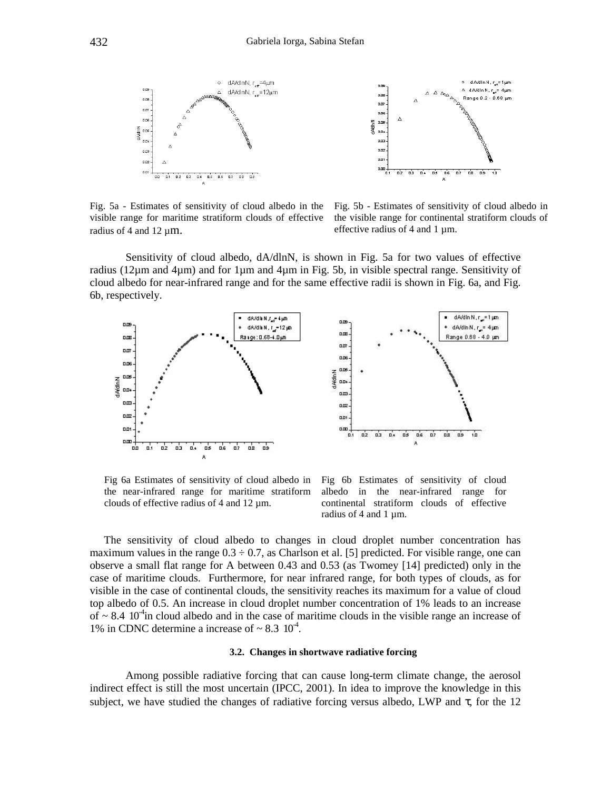



Fig. 5a - Estimates of sensitivity of cloud albedo in the visible range for maritime stratiform clouds of effective radius of 4 and 12  $\mu$ m.

Fig. 5b - Estimates of sensitivity of cloud albedo in the visible range for continental stratiform clouds of effective radius of 4 and 1 µm.

Sensitivity of cloud albedo, dA/dlnN, is shown in Fig. 5a for two values of effective radius (12µm and 4µm) and for 1µm and 4µm in Fig. 5b, in visible spectral range. Sensitivity of cloud albedo for near-infrared range and for the same effective radii is shown in Fig. 6a, and Fig. 6b, respectively.



Fig 6a Estimates of sensitivity of cloud albedo in the near-infrared range for maritime stratiform clouds of effective radius of 4 and 12 µm.

Fig 6b Estimates of sensitivity of cloud albedo in the near-infrared range for continental stratiform clouds of effective radius of 4 and 1  $\mu$ m.

The sensitivity of cloud albedo to changes in cloud droplet number concentration has maximum values in the range  $0.3 \div 0.7$ , as Charlson et al. [5] predicted. For visible range, one can observe a small flat range for A between 0.43 and 0.53 (as Twomey [14] predicted) only in the case of maritime clouds. Furthermore, for near infrared range, for both types of clouds, as for visible in the case of continental clouds, the sensitivity reaches its maximum for a value of cloud top albedo of 0.5. An increase in cloud droplet number concentration of 1% leads to an increase of  $\sim 8.4 \, 10^{-4}$  in cloud albedo and in the case of maritime clouds in the visible range an increase of 1% in CDNC determine a increase of  $\sim 8.3 \, 10^{-4}$ .

#### **3.2. Changes in shortwave radiative forcing**

Among possible radiative forcing that can cause long-term climate change, the aerosol indirect effect is still the most uncertain (IPCC, 2001). In idea to improve the knowledge in this subject, we have studied the changes of radiative forcing versus albedo, LWP and  $\tau$ , for the 12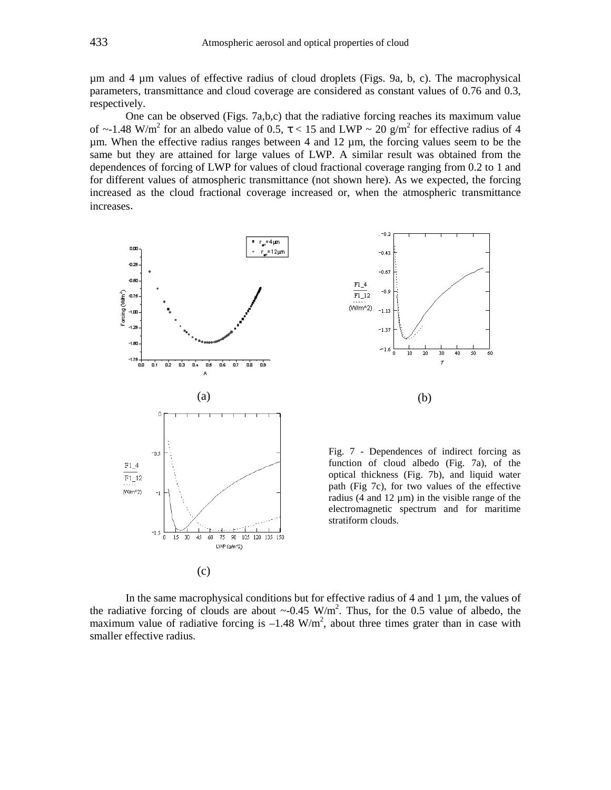µm and 4 µm values of effective radius of cloud droplets (Figs. 9a, b, c). The macrophysical parameters, transmittance and cloud coverage are considered as constant values of 0.76 and 0.3, respectively.

One can be observed (Figs. 7a,b,c) that the radiative forcing reaches its maximum value of  $\sim$ -1.48 W/m<sup>2</sup> for an albedo value of 0.5,  $\tau$  < 15 and LWP  $\sim$  20 g/m<sup>2</sup> for effective radius of 4 µm. When the effective radius ranges between 4 and 12 µm, the forcing values seem to be the same but they are attained for large values of LWP. A similar result was obtained from the dependences of forcing of LWP for values of cloud fractional coverage ranging from 0.2 to 1 and for different values of atmospheric transmittance (not shown here). As we expected, the forcing increased as the cloud fractional coverage increased or, when the atmospheric transmittance increases.





Fig. 7 - Dependences of indirect forcing as function of cloud albedo (Fig. 7a), of the optical thickness (Fig. 7b), and liquid water path (Fig 7c), for two values of the effective radius (4 and  $12 \mu m$ ) in the visible range of the electromagnetic spectrum and for maritime stratiform clouds.

In the same macrophysical conditions but for effective radius of  $4$  and  $1 \mu m$ , the values of the radiative forcing of clouds are about  $\sim$ -0.45 W/m<sup>2</sup>. Thus, for the 0.5 value of albedo, the maximum value of radiative forcing is  $-1.48 \text{ W/m}^2$ , about three times grater than in case with smaller effective radius.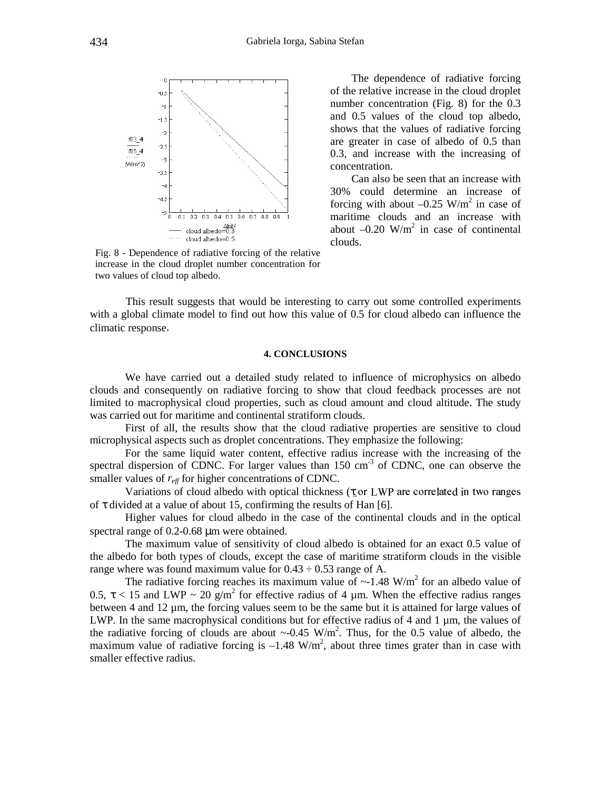

The dependence of radiative forcing of the relative increase in the cloud droplet number concentration (Fig. 8) for the 0.3 and 0.5 values of the cloud top albedo, shows that the values of radiative forcing are greater in case of albedo of 0.5 than 0.3, and increase with the increasing of concentration.

Can also be seen that an increase with 30% could determine an increase of forcing with about  $-0.25$  W/m<sup>2</sup> in case of maritime clouds and an increase with about  $-0.20$  W/m<sup>2</sup> in case of continental clouds.

Fig. 8 - Dependence of radiative forcing of the relative increase in the cloud droplet number concentration for two values of cloud top albedo.

This result suggests that would be interesting to carry out some controlled experiments with a global climate model to find out how this value of 0.5 for cloud albedo can influence the climatic response.

#### **4. CONCLUSIONS**

We have carried out a detailed study related to influence of microphysics on albedo clouds and consequently on radiative forcing to show that cloud feedback processes are not limited to macrophysical cloud properties, such as cloud amount and cloud altitude. The study was carried out for maritime and continental stratiform clouds.

First of all, the results show that the cloud radiative properties are sensitive to cloud microphysical aspects such as droplet concentrations. They emphasize the following:

For the same liquid water content, effective radius increase with the increasing of the spectral dispersion of CDNC. For larger values than  $150 \text{ cm}^3$  of CDNC, one can observe the smaller values of  $r_{\text{eff}}$  for higher concentrations of CDNC.

Variations of cloud albedo with optical thickness ( $\tau$  or LWP are correlated in two ranges of  $\tau$  divided at a value of about 15, confirming the results of Han [6].

Higher values for cloud albedo in the case of the continental clouds and in the optical spectral range of 0.2-0.68  $\mu$ m were obtained.

The maximum value of sensitivity of cloud albedo is obtained for an exact 0.5 value of the albedo for both types of clouds, except the case of maritime stratiform clouds in the visible range where was found maximum value for  $0.43 \div 0.53$  range of A.

The radiative forcing reaches its maximum value of  $\sim$ -1.48 W/m<sup>2</sup> for an albedo value of 0.5,  $\tau$  < 15 and LWP ~ 20 g/m<sup>2</sup> for effective radius of 4 µm. When the effective radius ranges between 4 and 12 µm, the forcing values seem to be the same but it is attained for large values of LWP. In the same macrophysical conditions but for effective radius of 4 and 1 µm, the values of the radiative forcing of clouds are about  $\sim$ -0.45 W/m<sup>2</sup>. Thus, for the 0.5 value of albedo, the maximum value of radiative forcing is  $-1.48 \text{ W/m}^2$ , about three times grater than in case with smaller effective radius.